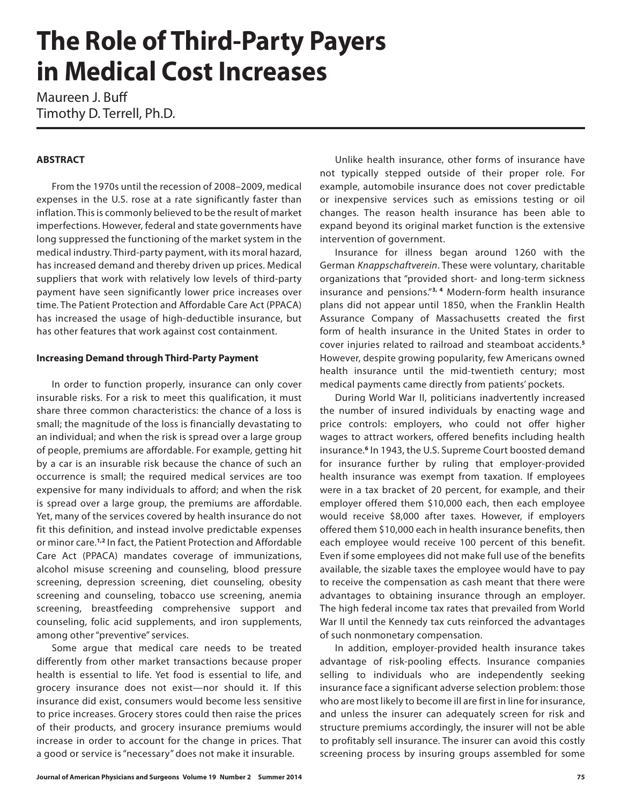# **The Role of Third-Party Payers in Medical Cost Increases**

Maureen J. Buff Timothy D. Terrell, Ph.D.

## **ABSTRACT**

From the 1970s until the recession of 2008–2009, medical expenses in the U.S. rose at a rate significantly faster than inflation. This is commonly believed to be the result of market imperfections. However, federal and state governments have long suppressed the functioning of the market system in the medical industry. Third-party payment, with its moral hazard, has increased demand and thereby driven up prices. Medical suppliers that work with relatively low levels of third-party payment have seen significantly lower price increases over time. The Patient Protection and Affordable Care Act (PPACA) has increased the usage of high-deductible insurance, but has other features that work against cost containment.

### **Increasing Demand through Third-Party Payment**

In order to function properly, insurance can only cover insurable risks. For a risk to meet this qualification, it must share three common characteristics: the chance of a loss is small; the magnitude of the loss is financially devastating to an individual; and when the risk is spread over a large group of people, premiums are affordable. For example, getting hit by a car is an insurable risk because the chance of such an occurrence is small; the required medical services are too expensive for many individuals to afford; and when the risk is spread over a large group, the premiums are affordable. Yet, many of the services covered by health insurance do not fit this definition, and instead involve predictable expenses or minor care.**1,2** In fact, the Patient Protection and Affordable Care Act (PPACA) mandates coverage of immunizations, alcohol misuse screening and counseling, blood pressure screening, depression screening, diet counseling, obesity screening and counseling, tobacco use screening, anemia screening, breastfeeding comprehensive support and counseling, folic acid supplements, and iron supplements, among other "preventive" services.

Some argue that medical care needs to be treated differently from other market transactions because proper health is essential to life. Yet food is essential to life, and grocery insurance does not exist—nor should it. If this insurance did exist, consumers would become less sensitive to price increases. Grocery stores could then raise the prices of their products, and grocery insurance premiums would increase in order to account for the change in prices. That a good or service is "necessary" does not make it insurable.

Unlike health insurance, other forms of insurance have not typically stepped outside of their proper role. For example, automobile insurance does not cover predictable or inexpensive services such as emissions testing or oil changes. The reason health insurance has been able to expand beyond its original market function is the extensive intervention of government.

Insurance for illness began around 1260 with the German *Knappschaftverein*. These were voluntary, charitable organizations that "provided short- and long-term sickness insurance and pensions."**3, 4** Modern-form health insurance plans did not appear until 1850, when the Franklin Health Assurance Company of Massachusetts created the first form of health insurance in the United States in order to cover injuries related to railroad and steamboat accidents.**<sup>5</sup>** However, despite growing popularity, few Americans owned health insurance until the mid-twentieth century; most medical payments came directly from patients' pockets.

During World War II, politicians inadvertently increased the number of insured individuals by enacting wage and price controls: employers, who could not offer higher wages to attract workers, offered benefits including health insurance.**<sup>6</sup>** In 1943, the U.S. Supreme Court boosted demand for insurance further by ruling that employer-provided health insurance was exempt from taxation. If employees were in a tax bracket of 20 percent, for example, and their employer offered them \$10,000 each, then each employee would receive \$8,000 after taxes. However, if employers offered them \$10,000 each in health insurance benefits, then each employee would receive 100 percent of this benefit. Even if some employees did not make full use of the benefits available, the sizable taxes the employee would have to pay to receive the compensation as cash meant that there were advantages to obtaining insurance through an employer. The high federal income tax rates that prevailed from World War II until the Kennedy tax cuts reinforced the advantages of such nonmonetary compensation.

In addition, employer-provided health insurance takes advantage of risk-pooling effects. Insurance companies selling to individuals who are independently seeking insurance face a significant adverse selection problem: those who are most likely to become ill are first in line for insurance, and unless the insurer can adequately screen for risk and structure premiums accordingly, the insurer will not be able to profitably sell insurance. The insurer can avoid this costly screening process by insuring groups assembled for some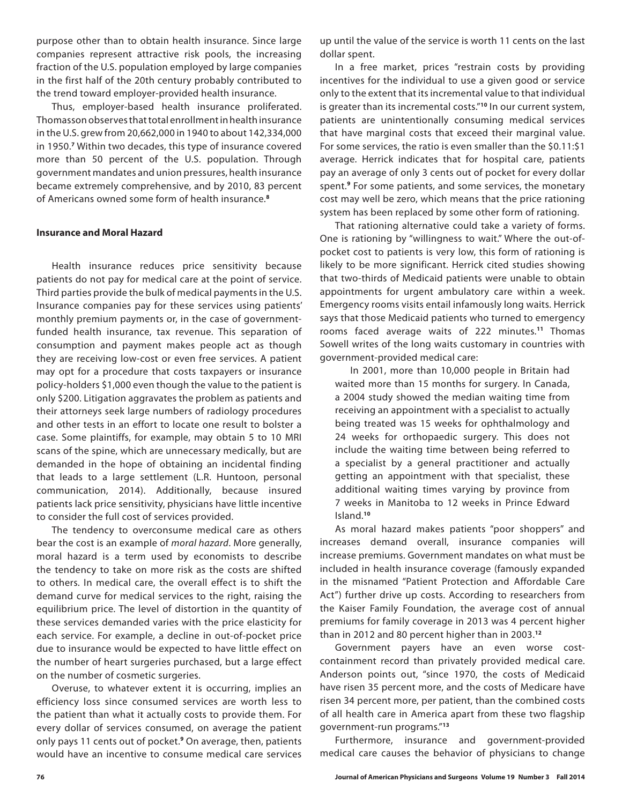purpose other than to obtain health insurance. Since large companies represent attractive risk pools, the increasing fraction of the U.S. population employed by large companies in the first half of the 20th century probably contributed to the trend toward employer-provided health insurance.

Thus, employer-based health insurance proliferated. Thomasson observes that total enrollment in health insurance in the U.S. grew from 20,662,000 in 1940 to about 142,334,000 in 1950.**<sup>7</sup>** Within two decades, this type of insurance covered more than 50 percent of the U.S. population. Through government mandates and union pressures, health insurance became extremely comprehensive, and by 2010, 83 percent of Americans owned some form of health insurance.**<sup>8</sup>**

### **Insurance and Moral Hazard**

Health insurance reduces price sensitivity because patients do not pay for medical care at the point of service. Third parties provide the bulk of medical payments in the U.S. Insurance companies pay for these services using patients' monthly premium payments or, in the case of governmentfunded health insurance, tax revenue. This separation of consumption and payment makes people act as though they are receiving low-cost or even free services. A patient may opt for a procedure that costs taxpayers or insurance policy-holders \$1,000 even though the value to the patient is only \$200. Litigation aggravates the problem as patients and their attorneys seek large numbers of radiology procedures and other tests in an effort to locate one result to bolster a case. Some plaintiffs, for example, may obtain 5 to 10 MRI scans of the spine, which are unnecessary medically, but are demanded in the hope of obtaining an incidental finding that leads to a large settlement (L.R. Huntoon, personal communication, 2014). Additionally, because insured patients lack price sensitivity, physicians have little incentive to consider the full cost of services provided.

The tendency to overconsume medical care as others bear the cost is an example of *moral hazard*. More generally, moral hazard is a term used by economists to describe the tendency to take on more risk as the costs are shifted to others. In medical care, the overall effect is to shift the demand curve for medical services to the right, raising the equilibrium price. The level of distortion in the quantity of these services demanded varies with the price elasticity for each service. For example, a decline in out-of-pocket price due to insurance would be expected to have little effect on the number of heart surgeries purchased, but a large effect on the number of cosmetic surgeries.

Overuse, to whatever extent it is occurring, implies an efficiency loss since consumed services are worth less to the patient than what it actually costs to provide them. For every dollar of services consumed, on average the patient only pays 11 cents out of pocket.**<sup>9</sup>** On average, then, patients would have an incentive to consume medical care services up until the value of the service is worth 11 cents on the last dollar spent.

In a free market, prices "restrain costs by providing incentives for the individual to use a given good or service only to the extent that its incremental value to that individual is greater than its incremental costs."**<sup>10</sup>** In our current system, patients are unintentionally consuming medical services that have marginal costs that exceed their marginal value. For some services, the ratio is even smaller than the \$0.11:\$1 average. Herrick indicates that for hospital care, patients pay an average of only 3 cents out of pocket for every dollar spent.**<sup>9</sup>** For some patients, and some services, the monetary cost may well be zero, which means that the price rationing system has been replaced by some other form of rationing.

That rationing alternative could take a variety of forms. One is rationing by "willingness to wait." Where the out-ofpocket cost to patients is very low, this form of rationing is likely to be more significant. Herrick cited studies showing that two-thirds of Medicaid patients were unable to obtain appointments for urgent ambulatory care within a week. Emergency rooms visits entail infamously long waits. Herrick says that those Medicaid patients who turned to emergency rooms faced average waits of 222 minutes.**<sup>11</sup>** Thomas Sowell writes of the long waits customary in countries with government-provided medical care:

In 2001, more than 10,000 people in Britain had waited more than 15 months for surgery. In Canada, a 2004 study showed the median waiting time from receiving an appointment with a specialist to actually being treated was 15 weeks for ophthalmology and 24 weeks for orthopaedic surgery. This does not include the waiting time between being referred to a specialist by a general practitioner and actually getting an appointment with that specialist, these additional waiting times varying by province from 7 weeks in Manitoba to 12 weeks in Prince Edward Island.**<sup>10</sup>**

As moral hazard makes patients "poor shoppers" and increases demand overall, insurance companies will increase premiums. Government mandates on what must be included in health insurance coverage (famously expanded in the misnamed "Patient Protection and Affordable Care Act") further drive up costs. According to researchers from the Kaiser Family Foundation, the average cost of annual premiums for family coverage in 2013 was 4 percent higher than in 2012 and 80 percent higher than in 2003.**<sup>12</sup>**

Government payers have an even worse costcontainment record than privately provided medical care. Anderson points out, "since 1970, the costs of Medicaid have risen 35 percent more, and the costs of Medicare have risen 34 percent more, per patient, than the combined costs of all health care in America apart from these two flagship government-run programs."**<sup>13</sup>**

Furthermore, insurance and government-provided medical care causes the behavior of physicians to change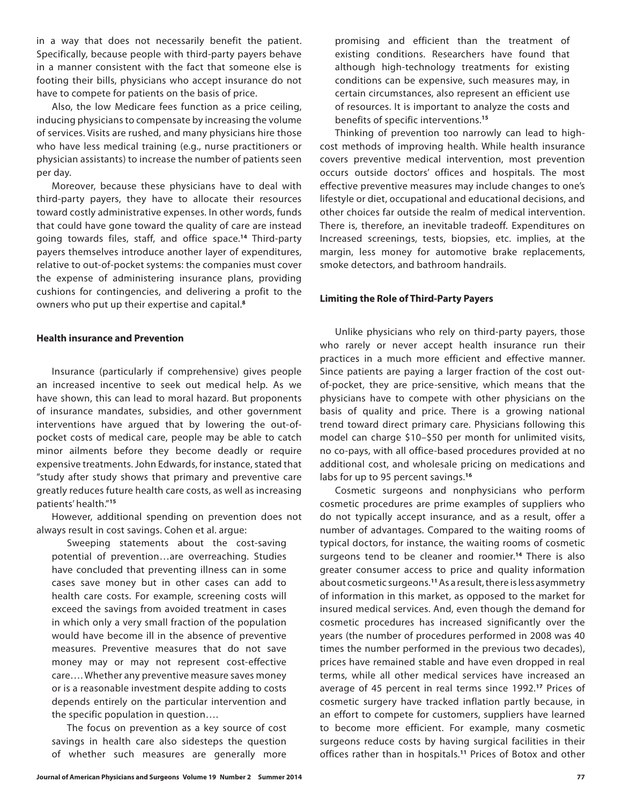in a way that does not necessarily benefit the patient. Specifically, because people with third-party payers behave in a manner consistent with the fact that someone else is footing their bills, physicians who accept insurance do not have to compete for patients on the basis of price.

Also, the low Medicare fees function as a price ceiling, inducing physicians to compensate by increasing the volume of services. Visits are rushed, and many physicians hire those who have less medical training (e.g., nurse practitioners or physician assistants) to increase the number of patients seen per day.

Moreover, because these physicians have to deal with third-party payers, they have to allocate their resources toward costly administrative expenses. In other words, funds that could have gone toward the quality of care are instead going towards files, staff, and office space.**<sup>14</sup>** Third-party payers themselves introduce another layer of expenditures, relative to out-of-pocket systems: the companies must cover the expense of administering insurance plans, providing cushions for contingencies, and delivering a profit to the owners who put up their expertise and capital.**<sup>8</sup>**

#### **Health insurance and Prevention**

Insurance (particularly if comprehensive) gives people an increased incentive to seek out medical help. As we have shown, this can lead to moral hazard. But proponents of insurance mandates, subsidies, and other government interventions have argued that by lowering the out-ofpocket costs of medical care, people may be able to catch minor ailments before they become deadly or require expensive treatments. John Edwards, for instance, stated that "study after study shows that primary and preventive care greatly reduces future health care costs, as well as increasing patients' health."**<sup>15</sup>**

However, additional spending on prevention does not always result in cost savings. Cohen et al. argue:

Sweeping statements about the cost-saving potential of prevention…are overreaching. Studies have concluded that preventing illness can in some cases save money but in other cases can add to health care costs. For example, screening costs will exceed the savings from avoided treatment in cases in which only a very small fraction of the population would have become ill in the absence of preventive measures. Preventive measures that do not save money may or may not represent cost-effective care…. Whether any preventive measure saves money or is a reasonable investment despite adding to costs depends entirely on the particular intervention and the specific population in question….

The focus on prevention as a key source of cost savings in health care also sidesteps the question of whether such measures are generally more

promising and efficient than the treatment of existing conditions. Researchers have found that although high-technology treatments for existing conditions can be expensive, such measures may, in certain circumstances, also represent an efficient use of resources. It is important to analyze the costs and benefits of specific interventions.**<sup>15</sup>**

Thinking of prevention too narrowly can lead to highcost methods of improving health. While health insurance covers preventive medical intervention, most prevention occurs outside doctors' offices and hospitals. The most effective preventive measures may include changes to one's lifestyle or diet, occupational and educational decisions, and other choices far outside the realm of medical intervention. There is, therefore, an inevitable tradeoff. Expenditures on Increased screenings, tests, biopsies, etc. implies, at the margin, less money for automotive brake replacements, smoke detectors, and bathroom handrails.

### **Limiting the Role of Third-Party Payers**

Unlike physicians who rely on third-party payers, those who rarely or never accept health insurance run their practices in a much more efficient and effective manner. Since patients are paying a larger fraction of the cost outof-pocket, they are price-sensitive, which means that the physicians have to compete with other physicians on the basis of quality and price. There is a growing national trend toward direct primary care. Physicians following this model can charge \$10–\$50 per month for unlimited visits, no co-pays, with all office-based procedures provided at no additional cost, and wholesale pricing on medications and labs for up to 95 percent savings.**<sup>16</sup>**

Cosmetic surgeons and nonphysicians who perform cosmetic procedures are prime examples of suppliers who do not typically accept insurance, and as a result, offer a number of advantages. Compared to the waiting rooms of typical doctors, for instance, the waiting rooms of cosmetic surgeons tend to be cleaner and roomier.**<sup>14</sup>** There is also greater consumer access to price and quality information about cosmetic surgeons.**<sup>11</sup>** As a result, there is less asymmetry of information in this market, as opposed to the market for insured medical services. And, even though the demand for cosmetic procedures has increased significantly over the years (the number of procedures performed in 2008 was 40 times the number performed in the previous two decades), prices have remained stable and have even dropped in real terms, while all other medical services have increased an average of 45 percent in real terms since 1992.**<sup>17</sup>** Prices of cosmetic surgery have tracked inflation partly because, in an effort to compete for customers, suppliers have learned to become more efficient. For example, many cosmetic surgeons reduce costs by having surgical facilities in their offices rather than in hospitals.**<sup>11</sup>** Prices of Botox and other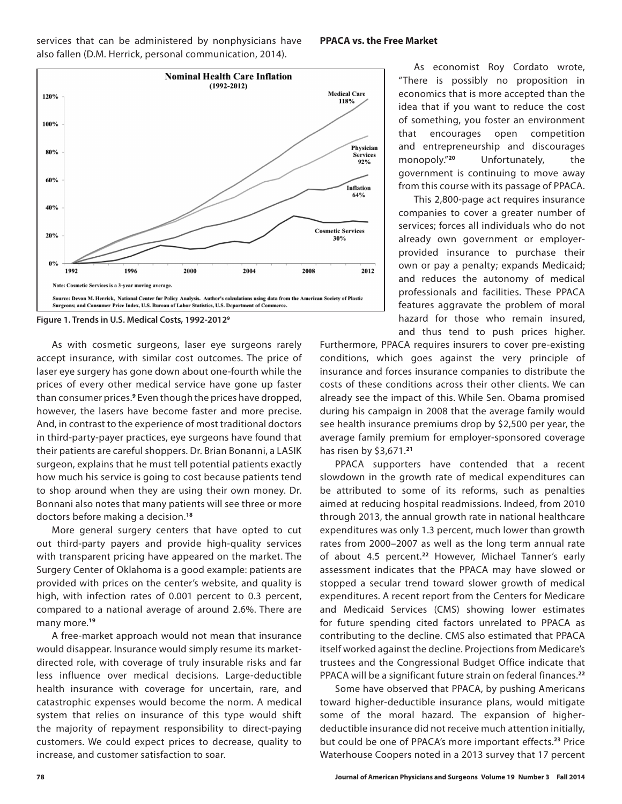services that can be administered by nonphysicians have also fallen (D.M. Herrick, personal communication, 2014).



**Figure 1. Trends in U.S. Medical Costs, 1992-2012<sup>9</sup>**

As with cosmetic surgeons, laser eye surgeons rarely accept insurance, with similar cost outcomes. The price of laser eye surgery has gone down about one-fourth while the prices of every other medical service have gone up faster than consumer prices.**<sup>9</sup>** Even though the prices have dropped, however, the lasers have become faster and more precise. And, in contrast to the experience of most traditional doctors in third-party-payer practices, eye surgeons have found that their patients are careful shoppers. Dr. Brian Bonanni, a LASIK surgeon, explains that he must tell potential patients exactly how much his service is going to cost because patients tend to shop around when they are using their own money. Dr. Bonnani also notes that many patients will see three or more doctors before making a decision.**<sup>18</sup>**

More general surgery centers that have opted to cut out third-party payers and provide high-quality services with transparent pricing have appeared on the market. The Surgery Center of Oklahoma is a good example: patients are provided with prices on the center's website, and quality is high, with infection rates of 0.001 percent to 0.3 percent, compared to a national average of around 2.6%. There are many more.**<sup>19</sup>**

A free-market approach would not mean that insurance would disappear. Insurance would simply resume its marketdirected role, with coverage of truly insurable risks and far less influence over medical decisions. Large-deductible health insurance with coverage for uncertain, rare, and catastrophic expenses would become the norm. A medical system that relies on insurance of this type would shift the majority of repayment responsibility to direct-paying customers. We could expect prices to decrease, quality to increase, and customer satisfaction to soar.

As economist Roy Cordato wrote, "There is possibly no proposition in economics that is more accepted than the idea that if you want to reduce the cost of something, you foster an environment that encourages open competition and entrepreneurship and discourages monopoly."**<sup>20</sup>** Unfortunately, the government is continuing to move away from this course with its passage of PPACA.

This 2,800-page act requires insurance companies to cover a greater number of services; forces all individuals who do not already own government or employerprovided insurance to purchase their own or pay a penalty; expands Medicaid; and reduces the autonomy of medical professionals and facilities. These PPACA features aggravate the problem of moral hazard for those who remain insured, and thus tend to push prices higher.

Furthermore, PPACA requires insurers to cover pre-existing conditions, which goes against the very principle of insurance and forces insurance companies to distribute the costs of these conditions across their other clients. We can already see the impact of this. While Sen. Obama promised during his campaign in 2008 that the average family would see health insurance premiums drop by \$2,500 per year, the average family premium for employer-sponsored coverage has risen by \$3,671.**<sup>21</sup>**

PPACA supporters have contended that a recent slowdown in the growth rate of medical expenditures can be attributed to some of its reforms, such as penalties aimed at reducing hospital readmissions. Indeed, from 2010 through 2013, the annual growth rate in national healthcare expenditures was only 1.3 percent, much lower than growth rates from 2000–2007 as well as the long term annual rate of about 4.5 percent.**<sup>22</sup>** However, Michael Tanner's early assessment indicates that the PPACA may have slowed or stopped a secular trend toward slower growth of medical expenditures. A recent report from the Centers for Medicare and Medicaid Services (CMS) showing lower estimates for future spending cited factors unrelated to PPACA as contributing to the decline. CMS also estimated that PPACA itself worked against the decline. Projections from Medicare's trustees and the Congressional Budget Office indicate that PPACA will be a significant future strain on federal finances.**<sup>22</sup>**

Some have observed that PPACA, by pushing Americans toward higher-deductible insurance plans, would mitigate some of the moral hazard. The expansion of higherdeductible insurance did not receive much attention initially, but could be one of PPACA's more important effects.**<sup>23</sup>** Price Waterhouse Coopers noted in a 2013 survey that 17 percent